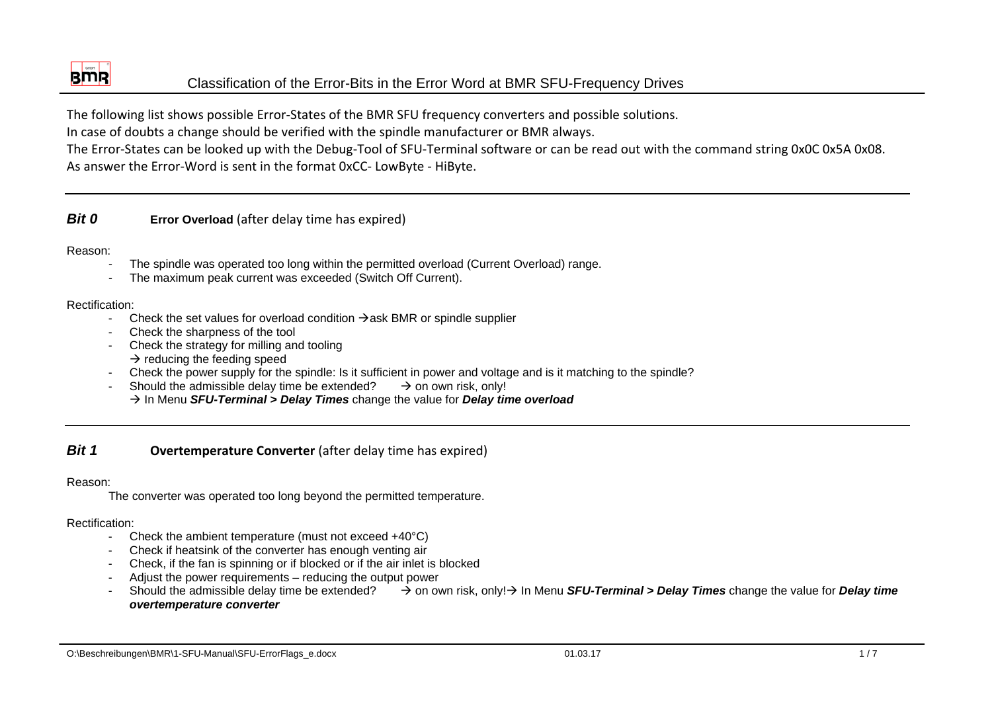

# Classification of the Error-Bits in the Error Word at BMR SFU-Frequency Drives

The following list shows possible Error‐States of the BMR SFU frequency converters and possible solutions.

In case of doubts <sup>a</sup> change should be verified with the spindle manufacturer or BMR always.

The Error‐States can be looked up with the Debug‐Tool of SFU‐Terminal software or can be read out with the command string 0x0C 0x5A 0x08. As answer the Error‐Word is sent in the format 0xCC‐ LowByte ‐ HiByte.

# *Bit 0* **Error Overload** (after delay time has expired)

### Reason:

- The spindle was operated too long within the permitted overload (Current Overload) range.
- The maximum peak current was exceeded (Switch Off Current).

# Rectification:

- Check the set values for overload condition  $\rightarrow$  ask BMR or spindle supplier
- Check the sharpness of the tool
- Check the strategy for milling and tooling  $\rightarrow$  reducing the feeding speed
- Check the power supply for the spindle: Is it sufficient in power and voltage and is it matching to the spindle?
- Should the admissible delay time be extended?  $\rightarrow$  on own risk, only! Æ In Menu *SFU-Terminal > Delay Times* change the value for *Delay time overload*

#### *Bit 1***Overtemperature Converter** (after delay time has expired)

## Reason:

The converter was operated too long beyond the permitted temperature.

- Check the ambient temperature (must not exceed +40°C)
- Check if heatsink of the converter has enough venting air
- Check, if the fan is spinning or if blocked or if the air inlet is blocked
- Adjust the power requirements reducing the output power
- Should the admissible delay time be extended?  $\rightarrow$  on own risk, only! $\rightarrow$  In Menu *SFU-Terminal > Delay Times* change the value for *Delay time overtemperature converter*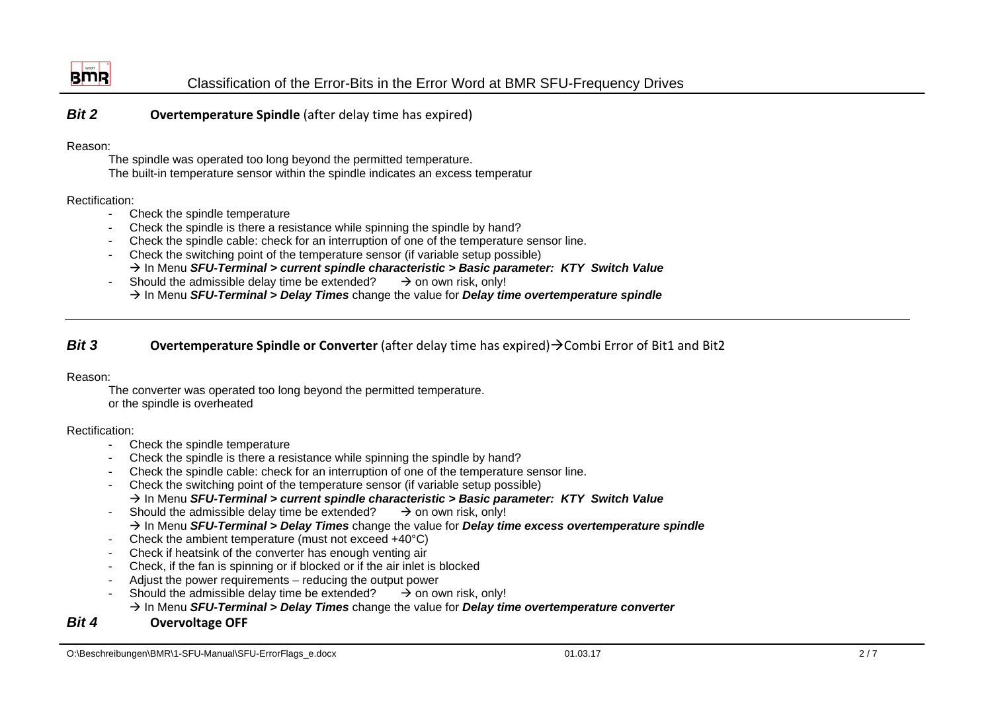

*Bit 2***Overtemperature Spindle** (after delay time has expired)

### Reason:

The spindle was operated too long beyond the permitted temperature. The built-in temperature sensor within the spindle indicates an excess temperatur

## Rectification:

- Check the spindle temperature
- Check the spindle is there a resistance while spinning the spindle by hand?
- Check the spindle cable: check for an interruption of one of the temperature sensor line.
- Check the switching point of the temperature sensor (if variable setup possible) Æ In Menu *SFU-Terminal > current spindle characteristic > Basic parameter: KTY Switch Value*
- Should the admissible delay time be extended?  $\rightarrow$  on own risk, only! Æ In Menu *SFU-Terminal > Delay Times* change the value for *Delay time overtemperature spindle*

#### *Bit 3***Overtemperature Spindle or Converter** (after delay time has expired)→Combi Error of Bit1 and Bit2

## Reason:

The converter was operated too long beyond the permitted temperature. or the spindle is overheated

## Rectification:

- Check the spindle temperature
- Check the spindle is there a resistance while spinning the spindle by hand?
- Check the spindle cable: check for an interruption of one of the temperature sensor line.
- Check the switching point of the temperature sensor (if variable setup possible)
- Æ In Menu *SFU-Terminal > current spindle characteristic > Basic parameter: KTY Switch Value*
- Should the admissible delay time be extended?  $\rightarrow$  on own risk, only!
	- Æ In Menu *SFU-Terminal > Delay Times* change the value for *Delay time excess overtemperature spindle*
- Check the ambient temperature (must not exceed +40°C)
- Check if heatsink of the converter has enough venting air
- Check, if the fan is spinning or if blocked or if the air inlet is blocked
- Adjust the power requirements reducing the output power
- Should the admissible delay time be extended?  $\rightarrow$  on own risk, only!

# Æ In Menu *SFU-Terminal > Delay Times* change the value for *Delay time overtemperature converter*

#### *Bit 4***Overvoltage OFF**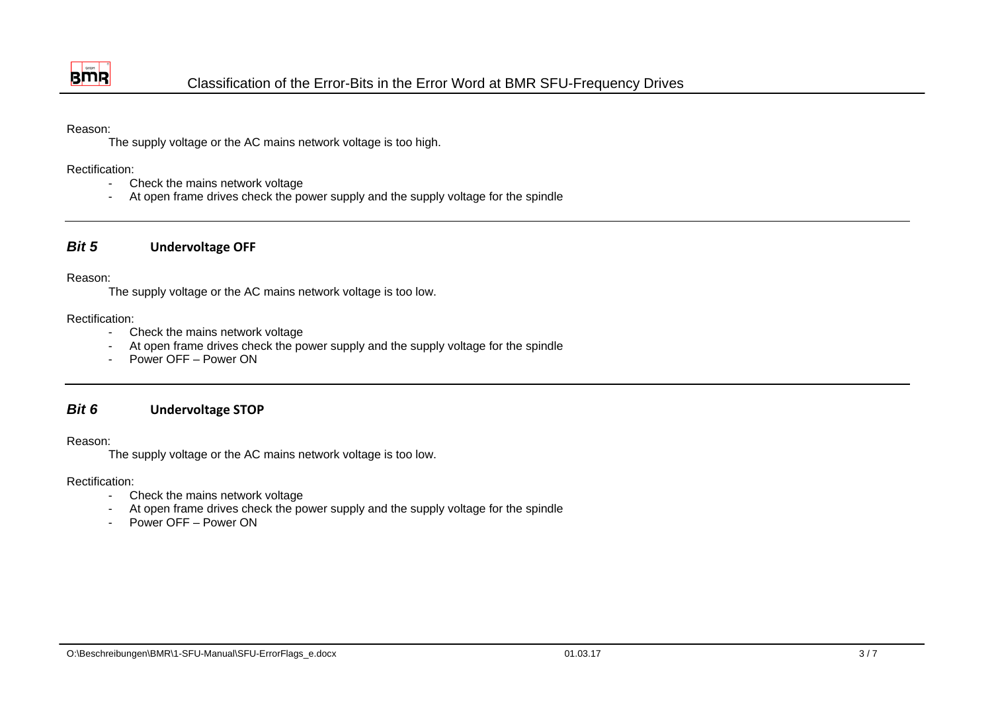

### Reason:

The supply voltage or the AC mains network voltage is too high.

### Rectification:

- Check the mains network voltage
- At open frame drives check the power supply and the supply voltage for the spindle

#### *Bit 5***Undervoltage OFF**

### Reason:

The supply voltage or the AC mains network voltage is too low.

### Rectification:

- Check the mains network voltage
- At open frame drives check the power supply and the supply voltage for the spindle
- Power OFF Power ON

#### *Bit 6***Undervoltage STOP**

### Reason:

The supply voltage or the AC mains network voltage is too low.

- Check the mains network voltage
- At open frame drives check the power supply and the supply voltage for the spindle
- Power OFF Power ON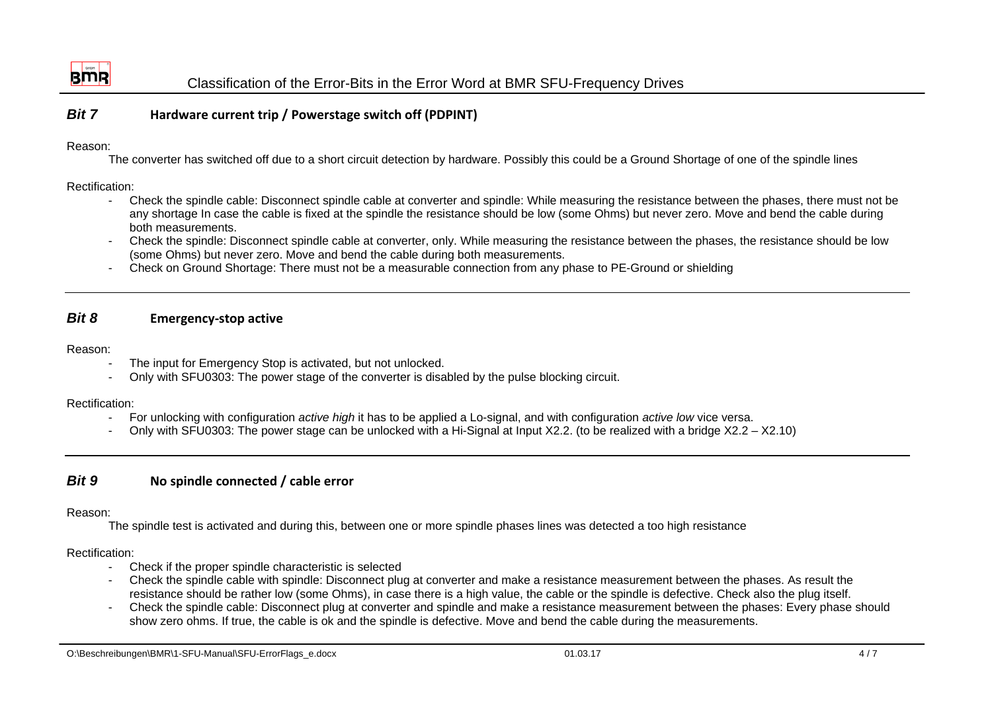

#### *Bit 7***Hardware current trip / Powerstage switch off (PDPINT)**

### Reason:

The converter has switched off due to a short circuit detection by hardware. Possibly this could be a Ground Shortage of one of the spindle lines

## Rectification:

- Check the spindle cable: Disconnect spindle cable at converter and spindle: While measuring the resistance between the phases, there must not be any shortage In case the cable is fixed at the spindle the resistance should be low (some Ohms) but never zero. Move and bend the cable during both measurements.
- Check the spindle: Disconnect spindle cable at converter, only. While measuring the resistance between the phases, the resistance should be low (some Ohms) but never zero. Move and bend the cable during both measurements.
- Check on Ground Shortage: There must not be a measurable connection from any phase to PE-Ground or shielding

#### *Bit 8***Emergency‐stop active**

### Reason:

- The input for Emergency Stop is activated, but not unlocked.
- Only with SFU0303: The power stage of the converter is disabled by the pulse blocking circuit.

### Rectification:

- For unlocking with configuration *active high* it has to be applied a Lo-signal, and with configuration *active low* vice versa.
- Only with SFU0303: The power stage can be unlocked with a Hi-Signal at Input X2.2. (to be realized with a bridge X2.2 X2.10)

#### *Bit 9***No spindle connected / cable error**

## Reason:

The spindle test is activated and during this, between one or more spindle phases lines was detected a too high resistance

- Check if the proper spindle characteristic is selected
- Check the spindle cable with spindle: Disconnect plug at converter and make a resistance measurement between the phases. As result the resistance should be rather low (some Ohms), in case there is a high value, the cable or the spindle is defective. Check also the plug itself.
- Check the spindle cable: Disconnect plug at converter and spindle and make a resistance measurement between the phases: Every phase should show zero ohms. If true, the cable is ok and the spindle is defective. Move and bend the cable during the measurements.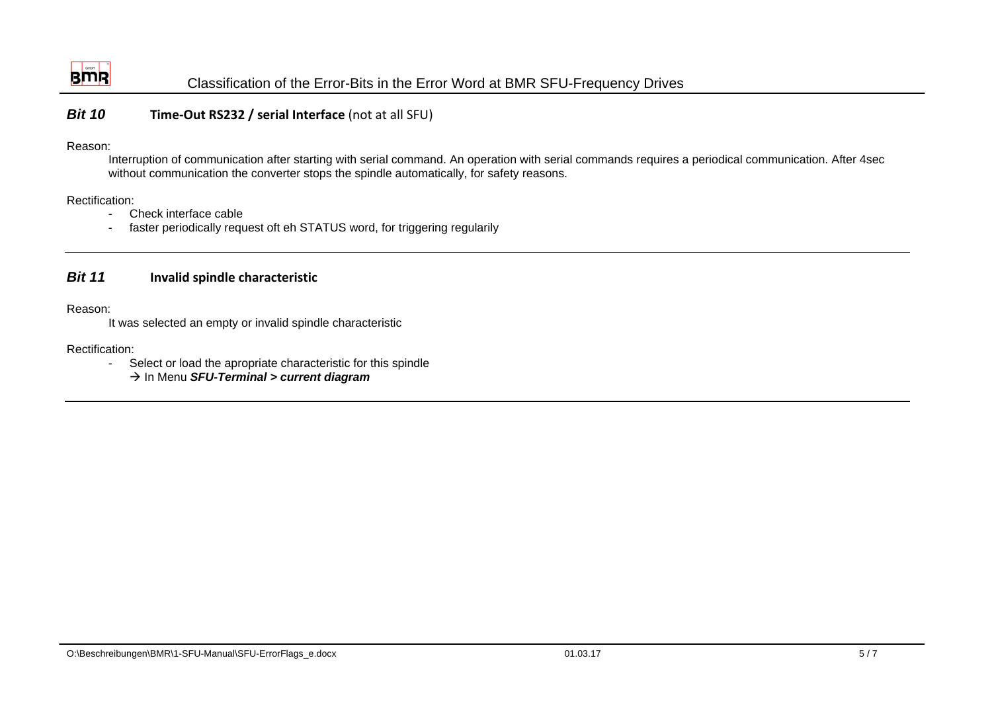

#### *Bit 10***Time‐Out RS232 / serial Interface** (not at all SFU)

### Reason:

Interruption of communication after starting with serial command. An operation with serial commands requires a periodical communication. After 4sec without communication the converter stops the spindle automatically, for safety reasons.

Rectification:

- Check interface cable
- faster periodically request oft eh STATUS word, for triggering regularily

#### *Bit 11***Invalid spindle characteristic**

Reason:

It was selected an empty or invalid spindle characteristic

Rectification:

- Select or load the apropriate characteristic for this spindle

Æ In Menu *SFU-Terminal > current diagram*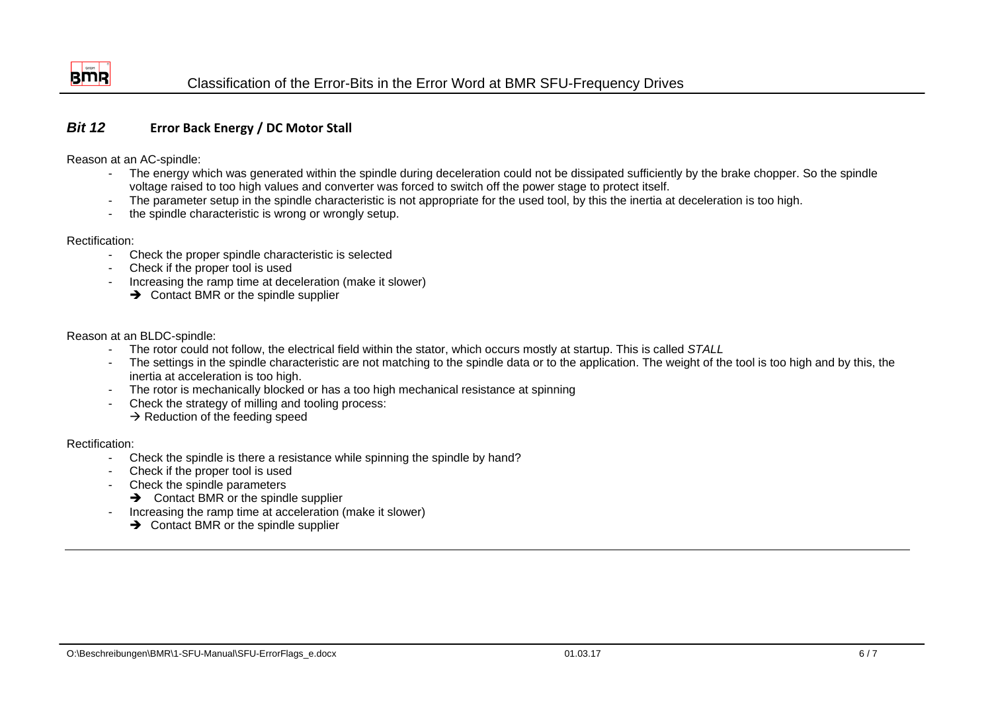

#### *Bit 12***Error Back Energy / DC Motor Stall**

Reason at an AC-spindle:

- The energy which was generated within the spindle during deceleration could not be dissipated sufficiently by the brake chopper. So the spindle voltage raised to too high values and converter was forced to switch off the power stage to protect itself.
- The parameter setup in the spindle characteristic is not appropriate for the used tool, by this the inertia at deceleration is too high.
- the spindle characteristic is wrong or wrongly setup.

### Rectification:

- Check the proper spindle characteristic is selected
- Check if the proper tool is used
- Increasing the ramp time at deceleration (make it slower)
	- $\rightarrow$  Contact BMR or the spindle supplier

Reason at an BLDC-spindle:

- The rotor could not follow, the electrical field within the stator, which occurs mostly at startup. This is called *STALL*
- The settings in the spindle characteristic are not matching to the spindle data or to the application. The weight of the tool is too high and by this, the inertia at acceleration is too high.
- The rotor is mechanically blocked or has a too high mechanical resistance at spinning
- Check the strategy of milling and tooling process:  $\rightarrow$  Reduction of the feeding speed

- Check the spindle is there a resistance while spinning the spindle by hand?
- Check if the proper tool is used
- Check the spindle parameters
	- $\rightarrow$  Contact BMR or the spindle supplier
- Increasing the ramp time at acceleration (make it slower)
	- $\rightarrow$  Contact BMR or the spindle supplier